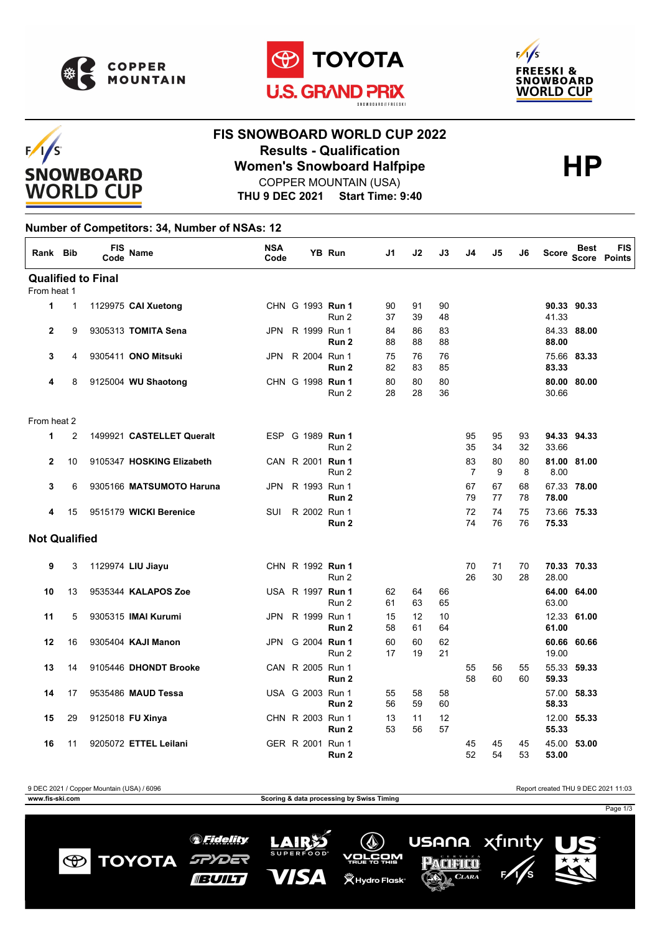

 $F/1/S$ 

**SNOWBOARD WORLD CUP** 





## **FIS SNOWBOARD WORLD CUP 2022 Results - Qualification<br>
Women's Snowboard Halfpipe<br>
COPPER MOUNTAIN (USA)** COPPER MOUNTAIN (USA)

**THU 9 DEC 2021 Start Time: 9:40**

## **Number of Competitors: 34, Number of NSAs: 12**

| Rank Bib             |                | <b>FIS</b><br>Code        | <b>Name</b>               | <b>NSA</b><br>Code |                  | <b>YB Run</b>    | J1       | J2       | J3       | J4                   | J5       | J6       | <b>Score</b>   | <b>Best</b> | <b>FIS</b><br><b>Score Points</b> |
|----------------------|----------------|---------------------------|---------------------------|--------------------|------------------|------------------|----------|----------|----------|----------------------|----------|----------|----------------|-------------|-----------------------------------|
|                      |                | <b>Qualified to Final</b> |                           |                    |                  |                  |          |          |          |                      |          |          |                |             |                                   |
| From heat 1          |                |                           |                           |                    |                  |                  |          |          |          |                      |          |          |                |             |                                   |
| 1                    | $\mathbf{1}$   |                           | 1129975 CAI Xuetong       |                    | CHN G 1993 Run 1 | Run 2            | 90<br>37 | 91<br>39 | 90<br>48 |                      |          |          | 41.33          | 90.33 90.33 |                                   |
| $\mathbf{2}$         | 9              |                           | 9305313 TOMITA Sena       | JPN                | R 1999 Run 1     | Run 2            | 84<br>88 | 86<br>88 | 83<br>88 |                      |          |          | 88.00          | 84.33 88.00 |                                   |
| 3                    | 4              |                           | 9305411 ONO Mitsuki       | JPN                | R 2004 Run 1     | Run <sub>2</sub> | 75<br>82 | 76<br>83 | 76<br>85 |                      |          |          | 83.33          | 75.66 83.33 |                                   |
| 4                    | 8              |                           | 9125004 WU Shaotong       |                    | CHN G 1998 Run 1 | Run 2            | 80<br>28 | 80<br>28 | 80<br>36 |                      |          |          | 80.00<br>30.66 | 80.00       |                                   |
| From heat 2          |                |                           |                           |                    |                  |                  |          |          |          |                      |          |          |                |             |                                   |
| 1                    | $\overline{2}$ |                           | 1499921 CASTELLET Queralt |                    | ESP G 1989 Run 1 | Run 2            |          |          |          | 95<br>35             | 95<br>34 | 93<br>32 | 33.66          | 94.33 94.33 |                                   |
| $\mathbf{2}$         | 10             |                           | 9105347 HOSKING Elizabeth |                    | CAN R 2001 Run 1 | Run 2            |          |          |          | 83<br>$\overline{7}$ | 80<br>9  | 80<br>8  | 8.00           | 81.00 81.00 |                                   |
| 3                    | 6              |                           | 9305166 MATSUMOTO Haruna  | JPN                | R 1993 Run 1     | Run <sub>2</sub> |          |          |          | 67<br>79             | 67<br>77 | 68<br>78 | 78.00          | 67.33 78.00 |                                   |
| 4                    | 15             |                           | 9515179 WICKI Berenice    | SUI                | R 2002 Run 1     | Run <sub>2</sub> |          |          |          | 72<br>74             | 74<br>76 | 75<br>76 | 75.33          | 73.66 75.33 |                                   |
| <b>Not Qualified</b> |                |                           |                           |                    |                  |                  |          |          |          |                      |          |          |                |             |                                   |
| 9                    | 3              |                           | 1129974 LIU Jiayu         |                    | CHN R 1992 Run 1 | Run 2            |          |          |          | 70<br>26             | 71<br>30 | 70<br>28 | 28.00          | 70.33 70.33 |                                   |
| 10                   | 13             |                           | 9535344 KALAPOS Zoe       |                    | USA R 1997 Run 1 | Run 2            | 62<br>61 | 64<br>63 | 66<br>65 |                      |          |          | 63.00          | 64.00 64.00 |                                   |
| 11                   | 5              |                           | 9305315 IMAI Kurumi       | JPN                | R 1999 Run 1     | Run 2            | 15<br>58 | 12<br>61 | 10<br>64 |                      |          |          | 61.00          | 12.33 61.00 |                                   |
| 12                   | 16             |                           | 9305404 KAJI Manon        | JPN                | G 2004 Run 1     | Run 2            | 60<br>17 | 60<br>19 | 62<br>21 |                      |          |          | 19.00          | 60.66 60.66 |                                   |
| 13                   | 14             |                           | 9105446 DHONDT Brooke     |                    | CAN R 2005 Run 1 | Run <sub>2</sub> |          |          |          | 55<br>58             | 56<br>60 | 55<br>60 | 59.33          | 55.33 59.33 |                                   |
| 14                   | 17             |                           | 9535486 MAUD Tessa        |                    | USA G 2003 Run 1 | Run 2            | 55<br>56 | 58<br>59 | 58<br>60 |                      |          |          | 58.33          | 57.00 58.33 |                                   |
| 15                   | 29             |                           | 9125018 FU Xinya          |                    | CHN R 2003 Run 1 | Run 2            | 13<br>53 | 11<br>56 | 12<br>57 |                      |          |          | 55.33          | 12.00 55.33 |                                   |
| 16                   | 11             |                           | 9205072 ETTEL Leilani     |                    | GER R 2001 Run 1 | Run 2            |          |          |          | 45<br>52             | 45<br>54 | 45<br>53 | 53.00          | 45.00 53.00 |                                   |

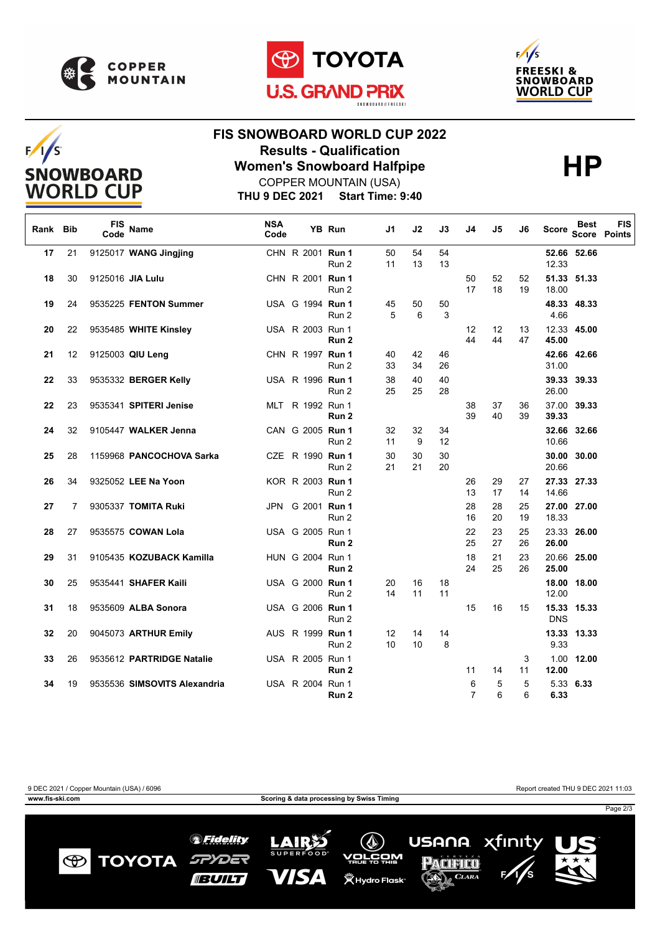

 $F/I/S$ 

**SNOWBOARD WORLD CUP** 





## **FIS SNOWBOARD WORLD CUP 2022 Results - Qualification<br>
Women's Snowboard Halfpipe<br>
COPPER MOUNTAIN (USA)**

**THU 9 DEC 2021 Start Time: 9:40** COPPER MOUNTAIN (USA)

| Rank | <b>Bib</b> | <b>FIS</b><br>Code | <b>Name</b>                  | <b>NSA</b><br>Code |                  | YB Run           | J1       | J2       | J3       | J4                  | J5       | J6       | <b>Score</b> | Best        | <b>FIS</b><br>Score Points |
|------|------------|--------------------|------------------------------|--------------------|------------------|------------------|----------|----------|----------|---------------------|----------|----------|--------------|-------------|----------------------------|
| 17   | 21         |                    | 9125017 WANG Jingjing        |                    | CHN R 2001 Run 1 | Run 2            | 50<br>11 | 54<br>13 | 54<br>13 |                     |          |          | 12.33        | 52.66 52.66 |                            |
| 18   | 30         |                    | 9125016 JIA Lulu             |                    | CHN R 2001 Run 1 | Run 2            |          |          |          | 50<br>17            | 52<br>18 | 52<br>19 | 18.00        | 51.33 51.33 |                            |
| 19   | 24         |                    | 9535225 FENTON Summer        |                    | USA G 1994 Run 1 | Run 2            | 45<br>5  | 50<br>6  | 50<br>3  |                     |          |          | 4.66         | 48.33 48.33 |                            |
| 20   | 22         |                    | 9535485 WHITE Kinsley        |                    | USA R 2003 Run 1 | Run <sub>2</sub> |          |          |          | 12<br>44            | 12<br>44 | 13<br>47 | 45.00        | 12.33 45.00 |                            |
| 21   | 12         |                    | 9125003 QIU Leng             |                    | CHN R 1997 Run 1 | Run 2            | 40<br>33 | 42<br>34 | 46<br>26 |                     |          |          | 31.00        | 42.66 42.66 |                            |
| 22   | 33         |                    | 9535332 BERGER Kelly         |                    | USA R 1996 Run 1 | Run 2            | 38<br>25 | 40<br>25 | 40<br>28 |                     |          |          | 26.00        | 39.33 39.33 |                            |
| 22   | 23         |                    | 9535341 SPITERI Jenise       |                    | MLT R 1992 Run 1 | Run 2            |          |          |          | 38<br>39            | 37<br>40 | 36<br>39 | 39.33        | 37.00 39.33 |                            |
| 24   | 32         |                    | 9105447 WALKER Jenna         |                    | CAN G 2005 Run 1 | Run 2            | 32<br>11 | 32<br>9  | 34<br>12 |                     |          |          | 10.66        | 32.66 32.66 |                            |
| 25   | 28         |                    | 1159968 PANCOCHOVA Sarka     |                    | CZE R 1990 Run 1 | Run 2            | 30<br>21 | 30<br>21 | 30<br>20 |                     |          |          | 20.66        | 30.00 30.00 |                            |
| 26   | 34         |                    | 9325052 LEE Na Yoon          |                    | KOR R 2003 Run 1 | Run 2            |          |          |          | 26<br>13            | 29<br>17 | 27<br>14 | 14.66        | 27.33 27.33 |                            |
| 27   | 7          |                    | 9305337 TOMITA Ruki          | JPN                | G 2001 Run 1     | Run 2            |          |          |          | 28<br>16            | 28<br>20 | 25<br>19 | 18.33        | 27.00 27.00 |                            |
| 28   | 27         |                    | 9535575 COWAN Lola           |                    | USA G 2005 Run 1 | Run 2            |          |          |          | 22<br>25            | 23<br>27 | 25<br>26 | 26.00        | 23.33 26.00 |                            |
| 29   | 31         |                    | 9105435 KOZUBACK Kamilla     |                    | HUN G 2004 Run 1 | Run 2            |          |          |          | 18<br>24            | 21<br>25 | 23<br>26 | 25.00        | 20.66 25.00 |                            |
| 30   | 25         |                    | 9535441 SHAFER Kaili         |                    | USA G 2000 Run 1 | Run 2            | 20<br>14 | 16<br>11 | 18<br>11 |                     |          |          | 12.00        | 18.00 18.00 |                            |
| 31   | 18         |                    | 9535609 ALBA Sonora          |                    | USA G 2006 Run 1 | Run 2            |          |          |          | 15                  | 16       | 15       | <b>DNS</b>   | 15.33 15.33 |                            |
| 32   | 20         |                    | 9045073 ARTHUR Emily         |                    | AUS R 1999 Run 1 | Run 2            | 12<br>10 | 14<br>10 | 14<br>8  |                     |          |          | 9.33         | 13.33 13.33 |                            |
| 33   | 26         |                    | 9535612 PARTRIDGE Natalie    |                    | USA R 2005 Run 1 | Run 2            |          |          |          | 11                  | 14       | 3<br>11  | 12.00        | 1.00 12.00  |                            |
| 34   | 19         |                    | 9535536 SIMSOVITS Alexandria |                    | USA R 2004 Run 1 | Run 2            |          |          |          | 6<br>$\overline{7}$ | 5<br>6   | 5<br>6   | 6.33         | 5.33 6.33   |                            |